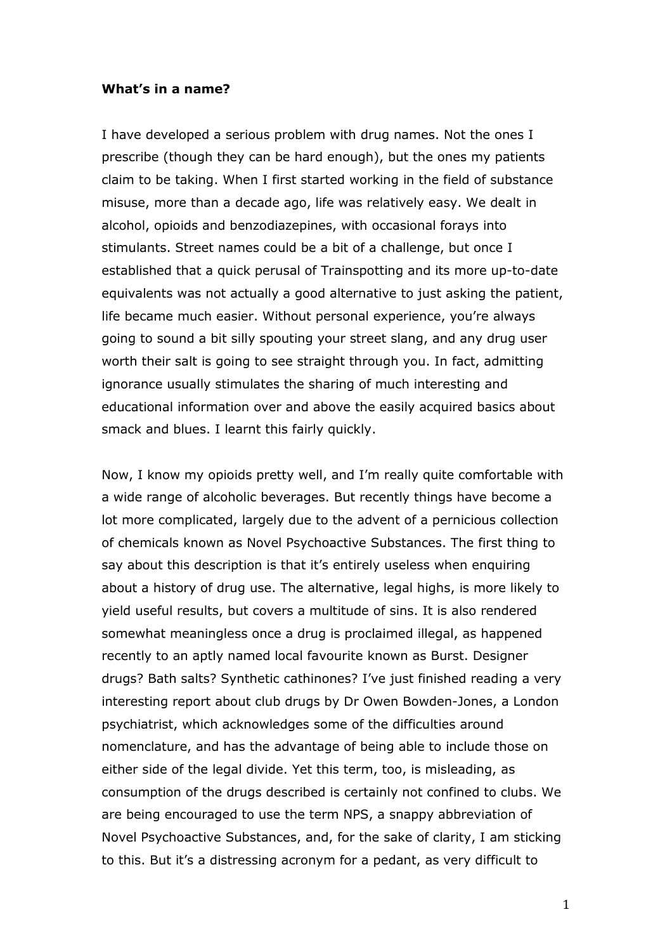## **What's in a name?**

I have developed a serious problem with drug names. Not the ones I prescribe (though they can be hard enough), but the ones my patients claim to be taking. When I first started working in the field of substance misuse, more than a decade ago, life was relatively easy. We dealt in alcohol, opioids and benzodiazepines, with occasional forays into stimulants. Street names could be a bit of a challenge, but once I established that a quick perusal of Trainspotting and its more up-to-date equivalents was not actually a good alternative to just asking the patient, life became much easier. Without personal experience, you're always going to sound a bit silly spouting your street slang, and any drug user worth their salt is going to see straight through you. In fact, admitting ignorance usually stimulates the sharing of much interesting and educational information over and above the easily acquired basics about smack and blues. I learnt this fairly quickly.

Now, I know my opioids pretty well, and I'm really quite comfortable with a wide range of alcoholic beverages. But recently things have become a lot more complicated, largely due to the advent of a pernicious collection of chemicals known as Novel Psychoactive Substances. The first thing to say about this description is that it's entirely useless when enquiring about a history of drug use. The alternative, legal highs, is more likely to yield useful results, but covers a multitude of sins. It is also rendered somewhat meaningless once a drug is proclaimed illegal, as happened recently to an aptly named local favourite known as Burst. Designer drugs? Bath salts? Synthetic cathinones? I've just finished reading a very interesting report about club drugs by Dr Owen Bowden-Jones, a London psychiatrist, which acknowledges some of the difficulties around nomenclature, and has the advantage of being able to include those on either side of the legal divide. Yet this term, too, is misleading, as consumption of the drugs described is certainly not confined to clubs. We are being encouraged to use the term NPS, a snappy abbreviation of Novel Psychoactive Substances, and, for the sake of clarity, I am sticking to this. But it's a distressing acronym for a pedant, as very difficult to

1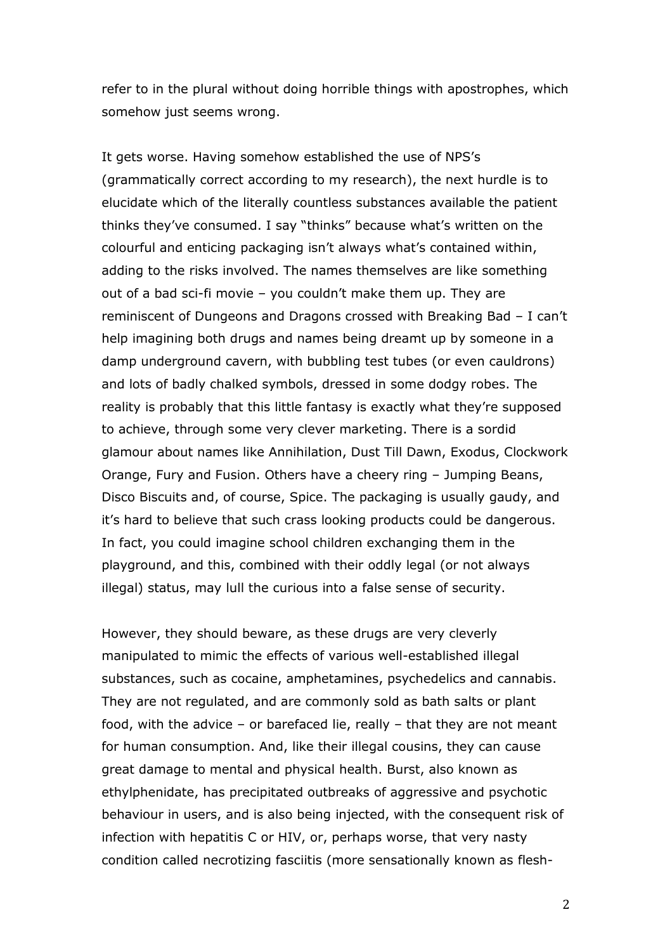refer to in the plural without doing horrible things with apostrophes, which somehow just seems wrong.

It gets worse. Having somehow established the use of NPS's (grammatically correct according to my research), the next hurdle is to elucidate which of the literally countless substances available the patient thinks they've consumed. I say "thinks" because what's written on the colourful and enticing packaging isn't always what's contained within, adding to the risks involved. The names themselves are like something out of a bad sci-fi movie – you couldn't make them up. They are reminiscent of Dungeons and Dragons crossed with Breaking Bad – I can't help imagining both drugs and names being dreamt up by someone in a damp underground cavern, with bubbling test tubes (or even cauldrons) and lots of badly chalked symbols, dressed in some dodgy robes. The reality is probably that this little fantasy is exactly what they're supposed to achieve, through some very clever marketing. There is a sordid glamour about names like Annihilation, Dust Till Dawn, Exodus, Clockwork Orange, Fury and Fusion. Others have a cheery ring – Jumping Beans, Disco Biscuits and, of course, Spice. The packaging is usually gaudy, and it's hard to believe that such crass looking products could be dangerous. In fact, you could imagine school children exchanging them in the playground, and this, combined with their oddly legal (or not always illegal) status, may lull the curious into a false sense of security.

However, they should beware, as these drugs are very cleverly manipulated to mimic the effects of various well-established illegal substances, such as cocaine, amphetamines, psychedelics and cannabis. They are not regulated, and are commonly sold as bath salts or plant food, with the advice – or barefaced lie, really – that they are not meant for human consumption. And, like their illegal cousins, they can cause great damage to mental and physical health. Burst, also known as ethylphenidate, has precipitated outbreaks of aggressive and psychotic behaviour in users, and is also being injected, with the consequent risk of infection with hepatitis C or HIV, or, perhaps worse, that very nasty condition called necrotizing fasciitis (more sensationally known as flesh-

2